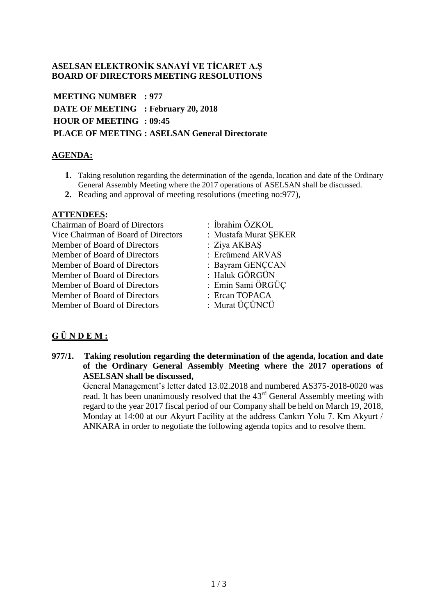#### **ASELSAN ELEKTRONİK SANAYİ VE TİCARET A.Ş BOARD OF DIRECTORS MEETING RESOLUTIONS**

**MEETING NUMBER : 977 DATE OF MEETING : February 20, 2018 HOUR OF MEETING : 09:45 PLACE OF MEETING : ASELSAN General Directorate**

### **AGENDA:**

- **1.** Taking resolution regarding the determination of the agenda, location and date of the Ordinary General Assembly Meeting where the 2017 operations of ASELSAN shall be discussed.
- **2.** Reading and approval of meeting resolutions (meeting no:977),

#### **ATTENDEES:**

Chairman of Board of Directors : İbrahim ÖZKOL Vice Chairman of Board of Directors : Mustafa Murat ŞEKER Member of Board of Directors : Ziva AKBAS Member of Board of Directors : Ercümend ARVAS Member of Board of Directors : Bayram GENCCAN Member of Board of Directors : Haluk GÖRGÜN Member of Board of Directors : Emin Sami ÖRGÜÇ Member of Board of Directors : Ercan TOPACA Member of Board of Directors : Murat ÜÇÜNCÜ

- 
- 
- 
- 
- 
- 
- 
- 

## **G Ü N D E M :**

**977/1. Taking resolution regarding the determination of the agenda, location and date of the Ordinary General Assembly Meeting where the 2017 operations of ASELSAN shall be discussed,**

General Management's letter dated 13.02.2018 and numbered AS375-2018-0020 was read. It has been unanimously resolved that the 43<sup>rd</sup> General Assembly meeting with regard to the year 2017 fiscal period of our Company shall be held on March 19, 2018, Monday at 14:00 at our Akyurt Facility at the address Cankırı Yolu 7. Km Akyurt / ANKARA in order to negotiate the following agenda topics and to resolve them.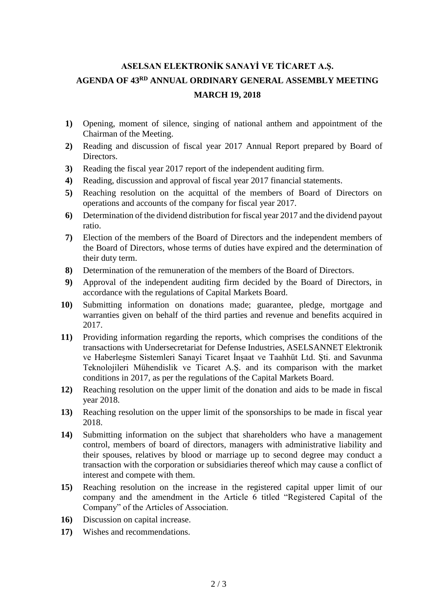# **ASELSAN ELEKTRONİK SANAYİ VE TİCARET A.Ş. AGENDA OF 43 RD ANNUAL ORDINARY GENERAL ASSEMBLY MEETING MARCH 19, 2018**

- **1)** Opening, moment of silence, singing of national anthem and appointment of the Chairman of the Meeting.
- **2)** Reading and discussion of fiscal year 2017 Annual Report prepared by Board of Directors.
- **3)** Reading the fiscal year 2017 report of the independent auditing firm.
- **4)** Reading, discussion and approval of fiscal year 2017 financial statements.
- **5)** Reaching resolution on the acquittal of the members of Board of Directors on operations and accounts of the company for fiscal year 2017.
- **6)** Determination of the dividend distribution for fiscal year 2017 and the dividend payout ratio.
- **7)** Election of the members of the Board of Directors and the independent members of the Board of Directors, whose terms of duties have expired and the determination of their duty term.
- **8)** Determination of the remuneration of the members of the Board of Directors.
- **9)** Approval of the independent auditing firm decided by the Board of Directors, in accordance with the regulations of Capital Markets Board.
- **10)** Submitting information on donations made; guarantee, pledge, mortgage and warranties given on behalf of the third parties and revenue and benefits acquired in 2017.
- **11)** Providing information regarding the reports, which comprises the conditions of the transactions with Undersecretariat for Defense Industries, ASELSANNET Elektronik ve Haberleşme Sistemleri Sanayi Ticaret İnşaat ve Taahhüt Ltd. Şti. and Savunma Teknolojileri Mühendislik ve Ticaret A.Ş. and its comparison with the market conditions in 2017, as per the regulations of the Capital Markets Board.
- **12)** Reaching resolution on the upper limit of the donation and aids to be made in fiscal year 2018.
- **13)** Reaching resolution on the upper limit of the sponsorships to be made in fiscal year 2018.
- **14)** Submitting information on the subject that shareholders who have a management control, members of board of directors, managers with administrative liability and their spouses, relatives by blood or marriage up to second degree may conduct a transaction with the corporation or subsidiaries thereof which may cause a conflict of interest and compete with them.
- **15)** Reaching resolution on the increase in the registered capital upper limit of our company and the amendment in the Article 6 titled "Registered Capital of the Company" of the Articles of Association.
- **16)** Discussion on capital increase.
- **17)** Wishes and recommendations.